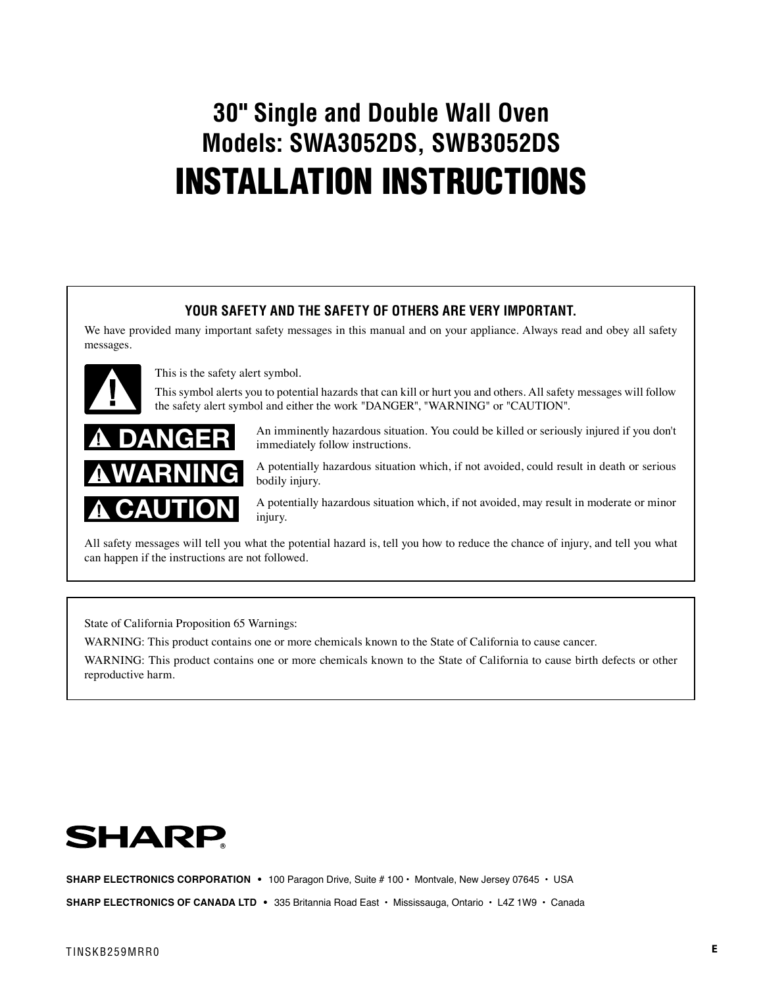# **30" Single and Double Wall Oven Models: SWA3052DS, SWB3052DS** INSTALLATION INSTRUCTIONS

## **YOUR SAFETY AND THE SAFETY OF OTHERS ARE VERY IMPORTANT.**

We have provided many important safety messages in this manual and on your appliance. Always read and obey all safety messages.



This is the safety alert symbol.

This symbol alerts you to potential hazards that can kill or hurt you and others. All safety messages will follow the safety alert symbol and either the work "DANGER", "WARNING" or "CAUTION".



An imminently hazardous situation. You could be killed or seriously injured if you don't immediately follow instructions.

A potentially hazardous situation which, if not avoided, could result in death or serious bodily injury.

A potentially hazardous situation which, if not avoided, may result in moderate or minor injury.

All safety messages will tell you what the potential hazard is, tell you how to reduce the chance of injury, and tell you what can happen if the instructions are not followed.

State of California Proposition 65 Warnings:

WARNING: This product contains one or more chemicals known to the State of California to cause cancer.

WARNING: This product contains one or more chemicals known to the State of California to cause birth defects or other reproductive harm.



SHARP ELECTRONICS CORPORATION • 100 Paragon Drive, Suite # 100 · Montvale, New Jersey 07645 · USA

**SHARP ELECTRONICS OF CANADA LTD** • 335 Britannia Road East • Mississauga, Ontario • L4Z 1W9 • Canada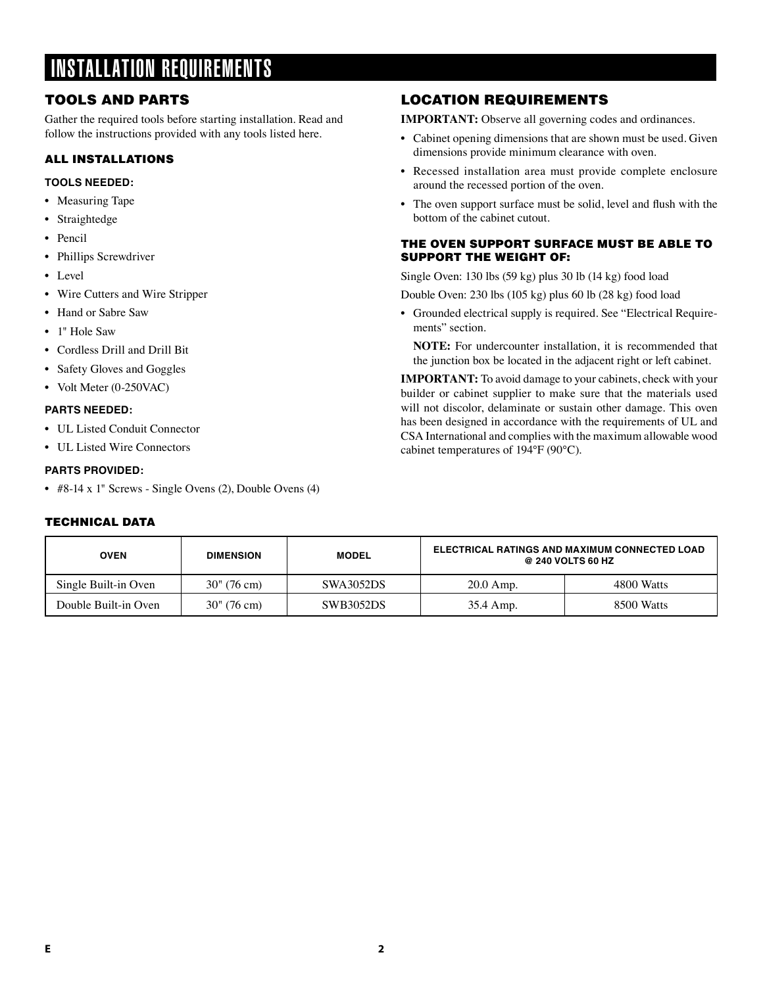# INSTALLATION REQUIREMENTS

# TOOLS AND PARTS

Gather the required tools before starting installation. Read and follow the instructions provided with any tools listed here.

### ALL INSTALLATIONS

### **TOOLS NEEDED:**

- Measuring Tape
- Straightedge
- Pencil
- Phillips Screwdriver
- Level
- Wire Cutters and Wire Stripper
- Hand or Sabre Saw
- 1" Hole Saw
- Cordless Drill and Drill Bit
- Safety Gloves and Goggles
- Volt Meter (0-250VAC)

### **PARTS NEEDED:**

- UL Listed Conduit Connector
- UL Listed Wire Connectors

### **PARTS PROVIDED:**

• #8-14 x 1" Screws - Single Ovens (2), Double Ovens (4)

### TECHNICAL DATA

## LOCATION REQUIREMENTS

**IMPORTANT:** Observe all governing codes and ordinances.

- Cabinet opening dimensions that are shown must be used. Given dimensions provide minimum clearance with oven.
- Recessed installation area must provide complete enclosure around the recessed portion of the oven.
- The oven support surface must be solid, level and flush with the bottom of the cabinet cutout.

### THE OVEN SUPPORT SURFACE MUST BE ABLE TO SUPPORT THE WEIGHT OF:

Single Oven: 130 lbs (59 kg) plus 30 lb (14 kg) food load

Double Oven: 230 lbs (105 kg) plus 60 lb (28 kg) food load

• Grounded electrical supply is required. See "Electrical Requirements" section.

**NOTE:** For undercounter installation, it is recommended that the junction box be located in the adjacent right or left cabinet.

**IMPORTANT:** To avoid damage to your cabinets, check with your builder or cabinet supplier to make sure that the materials used will not discolor, delaminate or sustain other damage. This oven has been designed in accordance with the requirements of UL and CSA International and complies with the maximum allowable wood cabinet temperatures of 194°F (90°C).

| <b>OVEN</b>          | <b>DIMENSION</b>       | <b>MODEL</b>     | ELECTRICAL RATINGS AND MAXIMUM CONNECTED LOAD<br>@ 240 VOLTS 60 HZ |            |
|----------------------|------------------------|------------------|--------------------------------------------------------------------|------------|
| Single Built-in Oven | $30'' (76 \text{ cm})$ | <b>SWA3052DS</b> | $20.0$ Amp.                                                        | 4800 Watts |
| Double Built-in Oven | $30'' (76 \text{ cm})$ | <b>SWB3052DS</b> | 35.4 Amp.                                                          | 8500 Watts |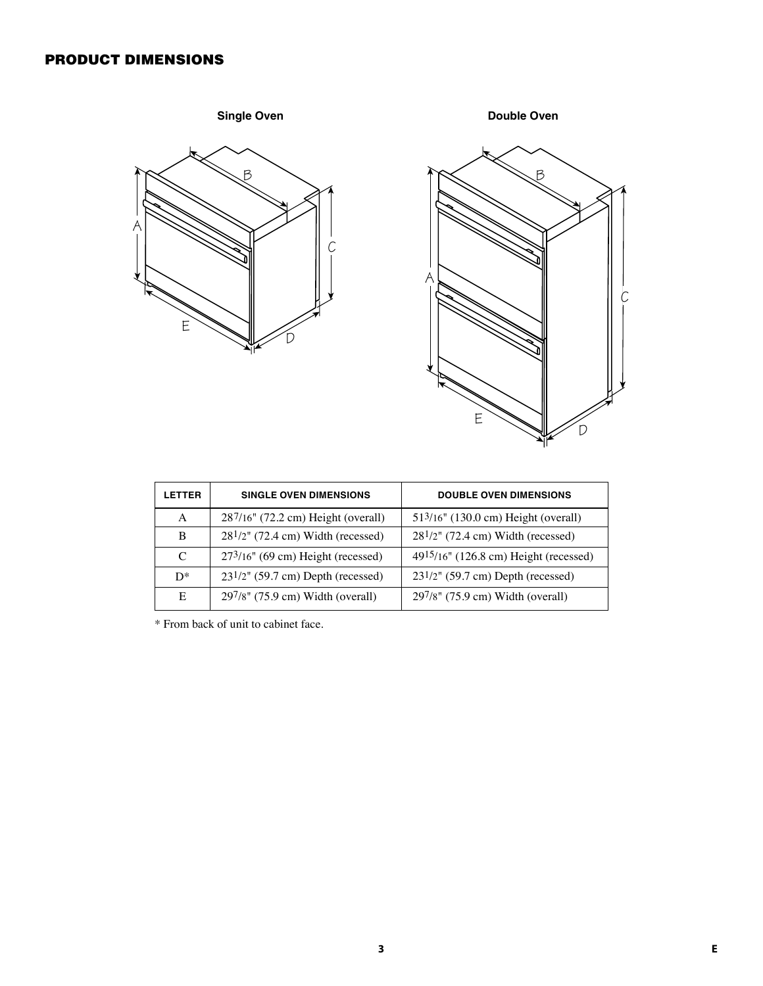# PRODUCT DIMENSIONS





| <b>LETTER</b> | <b>SINGLE OVEN DIMENSIONS</b>           | <b>DOUBLE OVEN DIMENSIONS</b>           |  |
|---------------|-----------------------------------------|-----------------------------------------|--|
| A             | 287/16" (72.2 cm) Height (overall)      | 513/16" (130.0 cm) Height (overall)     |  |
| B             | $281/2$ " (72.4 cm) Width (recessed)    | $281/2$ " (72.4 cm) Width (recessed)    |  |
| $\mathcal{C}$ | $273/16$ " (69 cm) Height (recessed)    | 4915/16" (126.8 cm) Height (recessed)   |  |
| $D^*$         | $23^{1/2}$ " (59.7 cm) Depth (recessed) | $23^{1/2}$ " (59.7 cm) Depth (recessed) |  |
| E             | 297/8" (75.9 cm) Width (overall)        | $297/8$ " (75.9 cm) Width (overall)     |  |

\* From back of unit to cabinet face.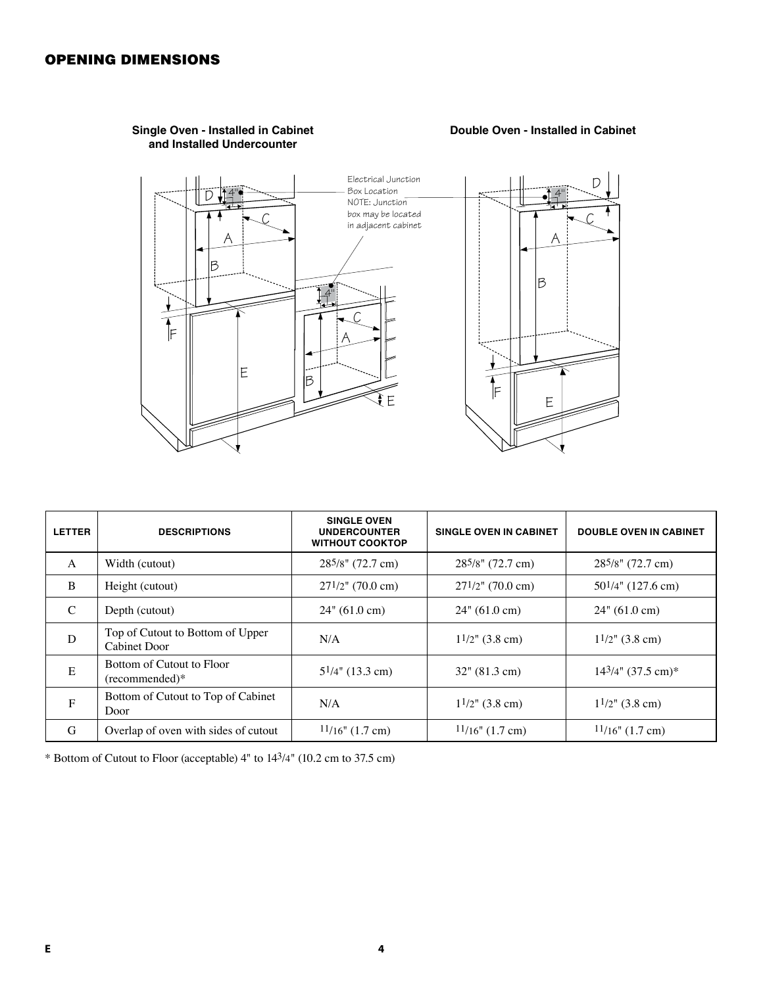

### **Single Oven - Installed in Cabinet and Installed Undercounter**

### **Double Oven - Installed in Cabinet**

| <b>LETTER</b> | <b>DESCRIPTIONS</b>                                     | <b>SINGLE OVEN</b><br><b>UNDERCOUNTER</b><br><b>WITHOUT COOKTOP</b> | <b>SINGLE OVEN IN CABINET</b> | <b>DOUBLE OVEN IN CABINET</b> |
|---------------|---------------------------------------------------------|---------------------------------------------------------------------|-------------------------------|-------------------------------|
| A             | Width (cutout)                                          | 285/8" (72.7 cm)                                                    | $28^{5}/8$ " (72.7 cm)        | 285/8" (72.7 cm)              |
| <sup>B</sup>  | Height (cutout)                                         | $27^{1/2}$ " (70.0 cm)                                              | $27^{1/2}$ " (70.0 cm)        | $50^{1/4}$ " (127.6 cm)       |
| $\mathcal{C}$ | Depth (cutout)                                          | $24$ " (61.0 cm)                                                    | $24$ " (61.0 cm)              | $24$ " (61.0 cm)              |
| D             | Top of Cutout to Bottom of Upper<br><b>Cabinet Door</b> | N/A                                                                 | $1^{1/2}$ " (3.8 cm)          | $1^{1/2}$ " (3.8 cm)          |
| E             | Bottom of Cutout to Floor<br>(recommended)*             | $5^{1/4}$ " (13.3 cm)                                               | $32$ " (81.3 cm)              | $14^{3}/4$ " (37.5 cm)*       |
| $\mathbf{F}$  | Bottom of Cutout to Top of Cabinet<br>Door              | N/A                                                                 | $1^{1/2}$ " (3.8 cm)          | $1^{1/2}$ " (3.8 cm)          |
| G             | Overlap of oven with sides of cutout                    | $11/16$ " (1.7 cm)                                                  | $11/16$ " (1.7 cm)            | $11/16$ " (1.7 cm)            |

\* Bottom of Cutout to Floor (acceptable) 4" to 143/4" (10.2 cm to 37.5 cm)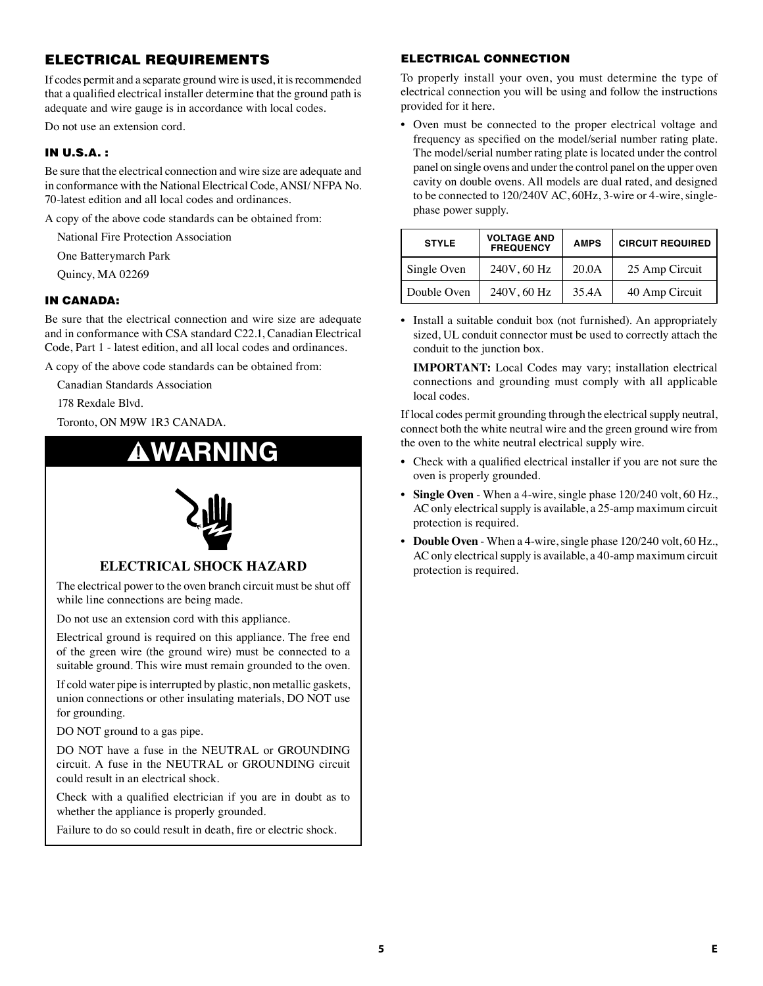# ELECTRICAL REQUIREMENTS

If codes permit and a separate ground wire is used, it is recommended that a qualified electrical installer determine that the ground path is adequate and wire gauge is in accordance with local codes.

Do not use an extension cord.

### IN U.S.A. :

Be sure that the electrical connection and wire size are adequate and in conformance with the National Electrical Code, ANSI/ NFPA No. 70-latest edition and all local codes and ordinances.

A copy of the above code standards can be obtained from:

National Fire Protection Association

One Batterymarch Park

Quincy, MA 02269

### IN CANADA:

Be sure that the electrical connection and wire size are adequate and in conformance with CSA standard C22.1, Canadian Electrical Code, Part 1 - latest edition, and all local codes and ordinances.

A copy of the above code standards can be obtained from:

Canadian Standards Association

178 Rexdale Blvd.

Toronto, ON M9W 1R3 CANADA.

# WARNING



### **ELECTRICAL SHOCK HAZARD**

The electrical power to the oven branch circuit must be shut off while line connections are being made.

Do not use an extension cord with this appliance.

Electrical ground is required on this appliance. The free end of the green wire (the ground wire) must be connected to a suitable ground. This wire must remain grounded to the oven.

If cold water pipe is interrupted by plastic, non metallic gaskets, union connections or other insulating materials, DO NOT use for grounding.

DO NOT ground to a gas pipe.

DO NOT have a fuse in the NEUTRAL or GROUNDING circuit. A fuse in the NEUTRAL or GROUNDING circuit could result in an electrical shock.

Check with a qualified electrician if you are in doubt as to whether the appliance is properly grounded.

Failure to do so could result in death, fire or electric shock.

### ELECTRICAL CONNECTION

To properly install your oven, you must determine the type of electrical connection you will be using and follow the instructions provided for it here.

• Oven must be connected to the proper electrical voltage and frequency as specified on the model/serial number rating plate. The model/serial number rating plate is located under the control panel on single ovens and under the control panel on the upper oven cavity on double ovens. All models are dual rated, and designed to be connected to 120/240V AC, 60Hz, 3-wire or 4-wire, singlephase power supply.

| <b>STYLE</b> | <b>VOLTAGE AND</b><br><b>FREQUENCY</b> | <b>AMPS</b> | <b>CIRCUIT REQUIRED</b> |  |
|--------------|----------------------------------------|-------------|-------------------------|--|
| Single Oven  | 240V, 60 Hz                            | 20.0A       | 25 Amp Circuit          |  |
| Double Oven  | 240V, 60 Hz                            | 35.4A       | 40 Amp Circuit          |  |

• Install a suitable conduit box (not furnished). An appropriately sized, UL conduit connector must be used to correctly attach the conduit to the junction box.

**IMPORTANT:** Local Codes may vary; installation electrical connections and grounding must comply with all applicable local codes.

If local codes permit grounding through the electrical supply neutral, connect both the white neutral wire and the green ground wire from the oven to the white neutral electrical supply wire.

- Check with a qualified electrical installer if you are not sure the oven is properly grounded.
- **Single Oven** When a 4-wire, single phase 120/240 volt, 60 Hz., AC only electrical supply is available, a 25-amp maximum circuit protection is required.
- **Double Oven** When a 4-wire, single phase 120/240 volt, 60 Hz., AC only electrical supply is available, a 40-amp maximum circuit protection is required.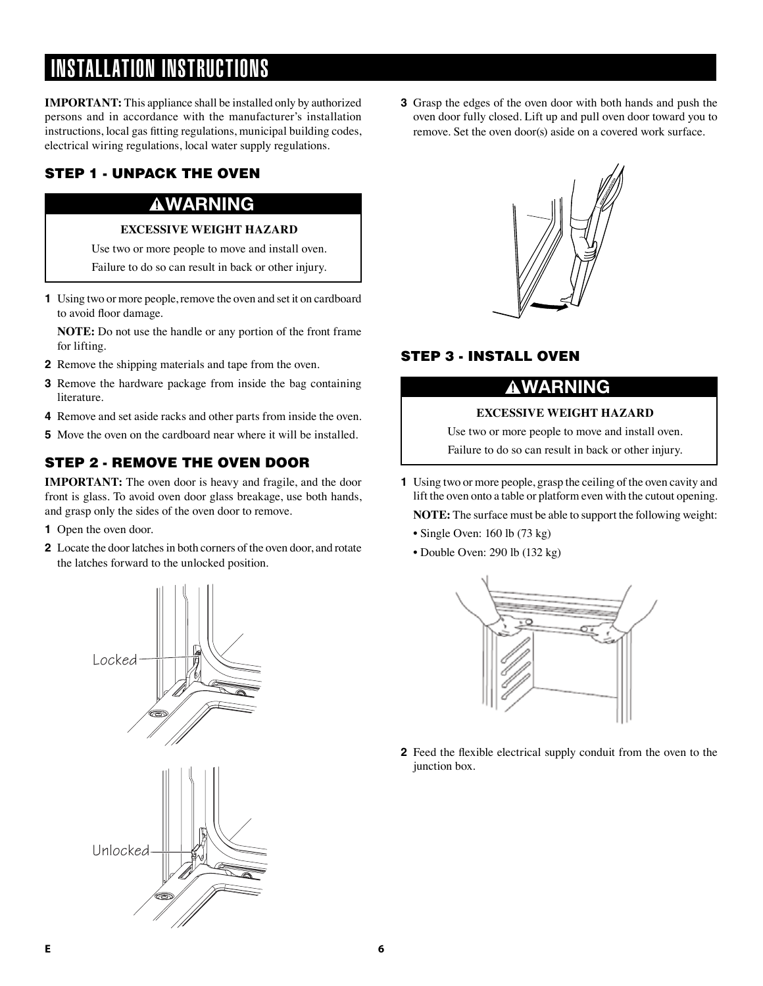# INSTALLATION INSTRUCTIONS

**IMPORTANT:** This appliance shall be installed only by authorized persons and in accordance with the manufacturer's installation instructions, local gas fitting regulations, municipal building codes, electrical wiring regulations, local water supply regulations.

# STEP 1 - UNPACK THE OVEN

# **AWARNING**

### **EXCESSIVE WEIGHT HAZARD**

Use two or more people to move and install oven.

Failure to do so can result in back or other injury.

**1** Using two or more people, remove the oven and set it on cardboard to avoid floor damage.

**NOTE:** Do not use the handle or any portion of the front frame for lifting.

- **2** Remove the shipping materials and tape from the oven.
- **3** Remove the hardware package from inside the bag containing literature.
- **4** Remove and set aside racks and other parts from inside the oven.
- **5** Move the oven on the cardboard near where it will be installed.

# STEP 2 - REMOVE THE OVEN DOOR

**IMPORTANT:** The oven door is heavy and fragile, and the door front is glass. To avoid oven door glass breakage, use both hands, and grasp only the sides of the oven door to remove.

- **1** Open the oven door.
- **2** Locate the door latches in both corners of the oven door, and rotate the latches forward to the unlocked position.



**3** Grasp the edges of the oven door with both hands and push the oven door fully closed. Lift up and pull oven door toward you to remove. Set the oven door(s) aside on a covered work surface.



# STEP 3 - INSTALL OVEN

# WARNING

### **EXCESSIVE WEIGHT HAZARD**

Use two or more people to move and install oven.

Failure to do so can result in back or other injury.

- **1** Using two or more people, grasp the ceiling of the oven cavity and lift the oven onto a table or platform even with the cutout opening. **NOTE:** The surface must be able to support the following weight:
	- Single Oven: 160 lb (73 kg)
	- Double Oven: 290 lb (132 kg)



**2** Feed the flexible electrical supply conduit from the oven to the junction box.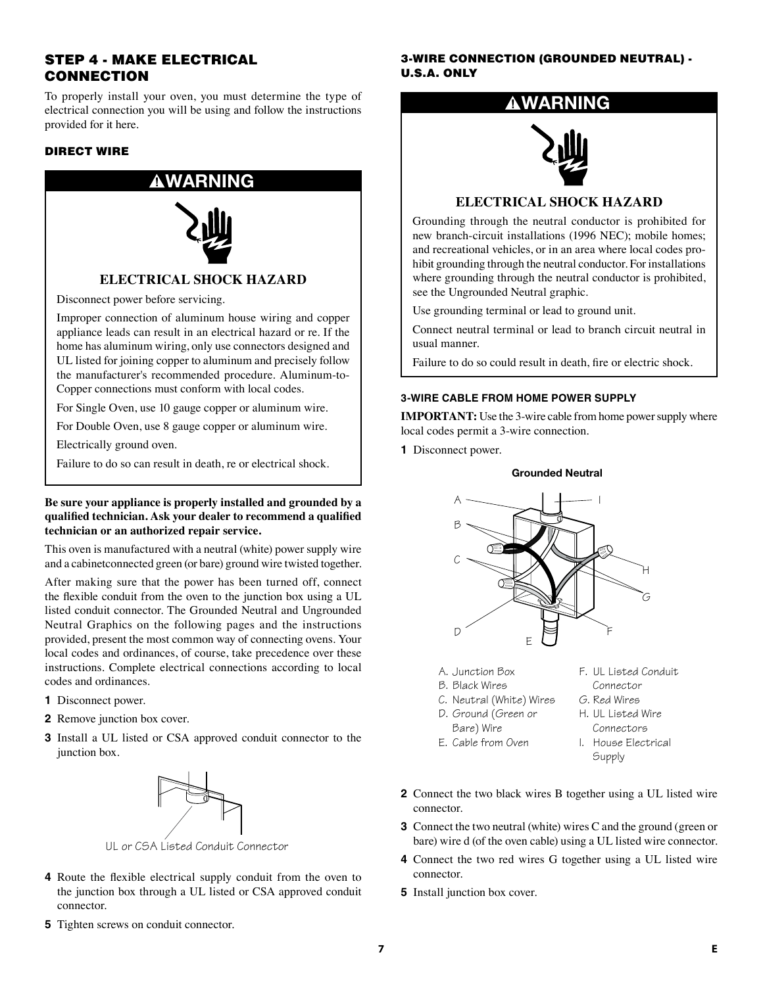### STEP 4 - MAKE ELECTRICAL CONNECTION

To properly install your oven, you must determine the type of electrical connection you will be using and follow the instructions provided for it here.

### DIRECT WIRE



Disconnect power before servicing.

Improper connection of aluminum house wiring and copper appliance leads can result in an electrical hazard or re. If the home has aluminum wiring, only use connectors designed and UL listed for joining copper to aluminum and precisely follow the manufacturer's recommended procedure. Aluminum-to-Copper connections must conform with local codes.

For Single Oven, use 10 gauge copper or aluminum wire.

For Double Oven, use 8 gauge copper or aluminum wire.

Electrically ground oven.

Failure to do so can result in death, re or electrical shock.

### **Be sure your appliance is properly installed and grounded by a qualified technician. Ask your dealer to recommend a qualified technician or an authorized repair service.**

This oven is manufactured with a neutral (white) power supply wire and a cabinetconnected green (or bare) ground wire twisted together.

After making sure that the power has been turned off, connect the flexible conduit from the oven to the junction box using a UL listed conduit connector. The Grounded Neutral and Ungrounded Neutral Graphics on the following pages and the instructions provided, present the most common way of connecting ovens. Your local codes and ordinances, of course, take precedence over these instructions. Complete electrical connections according to local codes and ordinances.

- **1** Disconnect power.
- **2** Remove junction box cover.
- **3** Install a UL listed or CSA approved conduit connector to the junction box.



UL or CSA Listed Conduit Connector

- **4** Route the flexible electrical supply conduit from the oven to the junction box through a UL listed or CSA approved conduit connector.
- **5** Tighten screws on conduit connector.

3-WIRE CONNECTION (GROUNDED NEUTRAL) - U.S.A. ONLY

# RNING



### **ELECTRICAL SHOCK HAZARD**

Grounding through the neutral conductor is prohibited for new branch-circuit installations (1996 NEC); mobile homes; and recreational vehicles, or in an area where local codes prohibit grounding through the neutral conductor. For installations where grounding through the neutral conductor is prohibited, see the Ungrounded Neutral graphic.

Use grounding terminal or lead to ground unit.

Connect neutral terminal or lead to branch circuit neutral in usual manner.

Failure to do so could result in death, fire or electric shock.

#### **3-WIRE CABLE FROM HOME POWER SUPPLY**

**IMPORTANT:** Use the 3-wire cable from home power supply where local codes permit a 3-wire connection.

**1** Disconnect power.

#### Grounded Neutral



- A. Junction Box
- B. Black Wires
- C. Neutral (White) Wires
- D. Ground (Green or
- Bare) Wire
- E. Cable from Oven
- F. UL Listed Conduit
- Connector
- G. Red Wires
- H. UL Listed Wire Connectors
- 
- I. House Electrical **Supply**
- **2** Connect the two black wires B together using a UL listed wire connector.
- **3** Connect the two neutral (white) wires C and the ground (green or bare) wire d (of the oven cable) using a UL listed wire connector.
- **4** Connect the two red wires G together using a UL listed wire connector.
- **5** Install junction box cover.